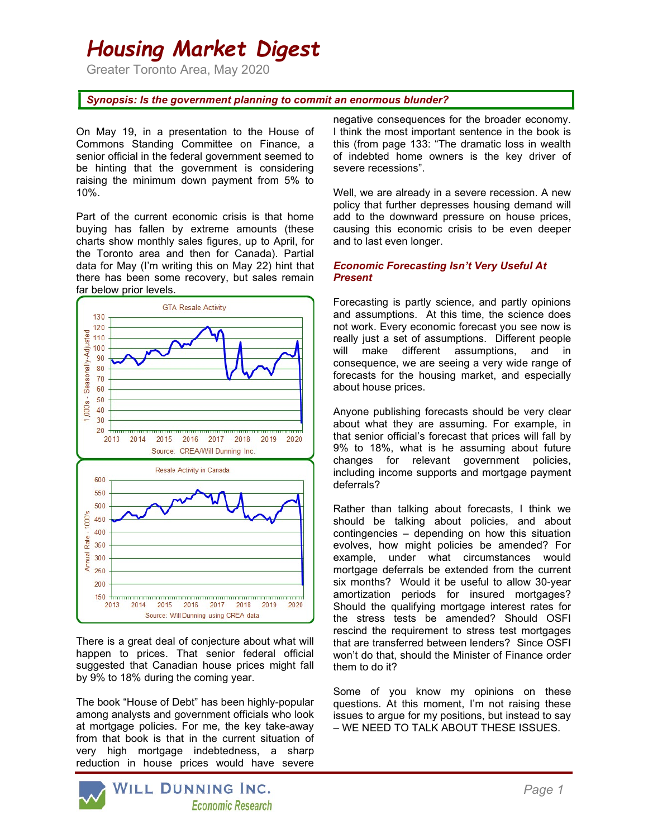# Housing Market Digest

Greater Toronto Area, May 2020

## Synopsis: Is the government planning to commit an enormous blunder?

On May 19, in a presentation to the House of Commons Standing Committee on Finance, a senior official in the federal government seemed to be hinting that the government is considering raising the minimum down payment from 5% to 10%.

Part of the current economic crisis is that home buying has fallen by extreme amounts (these charts show monthly sales figures, up to April, for the Toronto area and then for Canada). Partial data for May (I'm writing this on May 22) hint that there has been some recovery, but sales remain far below prior levels.



There is a great deal of conjecture about what will happen to prices. That senior federal official suggested that Canadian house prices might fall by 9% to 18% during the coming year.

The book "House of Debt" has been highly-popular among analysts and government officials who look at mortgage policies. For me, the key take-away from that book is that in the current situation of very high mortgage indebtedness, a sharp reduction in house prices would have severe

negative consequences for the broader economy. I think the most important sentence in the book is this (from page 133: "The dramatic loss in wealth of indebted home owners is the key driver of severe recessions".

Well, we are already in a severe recession. A new policy that further depresses housing demand will add to the downward pressure on house prices, causing this economic crisis to be even deeper and to last even longer.

## Economic Forecasting Isn't Very Useful At **Present**

Forecasting is partly science, and partly opinions and assumptions. At this time, the science does not work. Every economic forecast you see now is really just a set of assumptions. Different people will make different assumptions, and in consequence, we are seeing a very wide range of forecasts for the housing market, and especially about house prices.

Anyone publishing forecasts should be very clear about what they are assuming. For example, in that senior official's forecast that prices will fall by 9% to 18%, what is he assuming about future changes for relevant government policies, including income supports and mortgage payment deferrals?

Rather than talking about forecasts, I think we should be talking about policies, and about contingencies – depending on how this situation evolves, how might policies be amended? For example, under what circumstances would mortgage deferrals be extended from the current six months? Would it be useful to allow 30-year amortization periods for insured mortgages? Should the qualifying mortgage interest rates for the stress tests be amended? Should OSFI rescind the requirement to stress test mortgages that are transferred between lenders? Since OSFI won't do that, should the Minister of Finance order them to do it?

Some of you know my opinions on these questions. At this moment, I'm not raising these issues to argue for my positions, but instead to say – WE NEED TO TALK ABOUT THESE ISSUES.